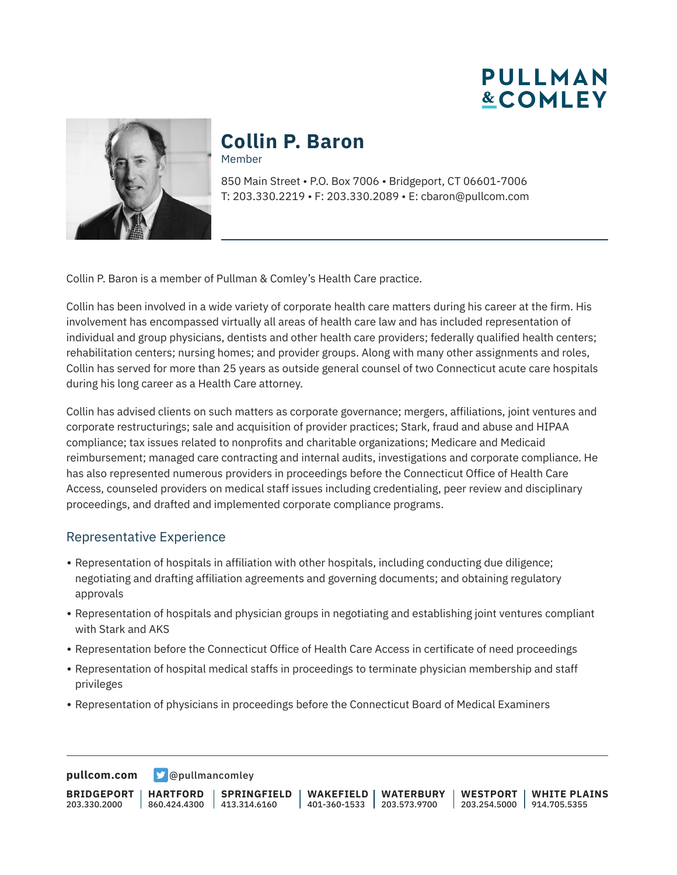**PULLMAN &COMLEY** 



# **Collin P. Baron**

Member

850 Main Street • P.O. Box 7006 • Bridgeport, CT 06601-7006 T: 203.330.2219 • F: 203.330.2089 • E: cbaron@pullcom.com

Collin P. Baron is a member of Pullman & Comley's Health Care practice.

Collin has been involved in a wide variety of corporate health care matters during his career at the firm. His involvement has encompassed virtually all areas of health care law and has included representation of individual and group physicians, dentists and other health care providers; federally qualified health centers; rehabilitation centers; nursing homes; and provider groups. Along with many other assignments and roles, Collin has served for more than 25 years as outside general counsel of two Connecticut acute care hospitals during his long career as a Health Care attorney.

Collin has advised clients on such matters as corporate governance; mergers, affiliations, joint ventures and corporate restructurings; sale and acquisition of provider practices; Stark, fraud and abuse and HIPAA compliance; tax issues related to nonprofits and charitable organizations; Medicare and Medicaid reimbursement; managed care contracting and internal audits, investigations and corporate compliance. He has also represented numerous providers in proceedings before the Connecticut Office of Health Care Access, counseled providers on medical staff issues including credentialing, peer review and disciplinary proceedings, and drafted and implemented corporate compliance programs.

#### Representative Experience

- Representation of hospitals in affiliation with other hospitals, including conducting due diligence; negotiating and drafting affiliation agreements and governing documents; and obtaining regulatory approvals
- Representation of hospitals and physician groups in negotiating and establishing joint ventures compliant with Stark and AKS
- Representation before the Connecticut Office of Health Care Access in certificate of need proceedings
- Representation of hospital medical staffs in proceedings to terminate physician membership and staff privileges
- Representation of physicians in proceedings before the Connecticut Board of Medical Examiners

**[pullcom.com](https://www.pullcom.com) g** [@pullmancomley](https://twitter.com/PullmanComley)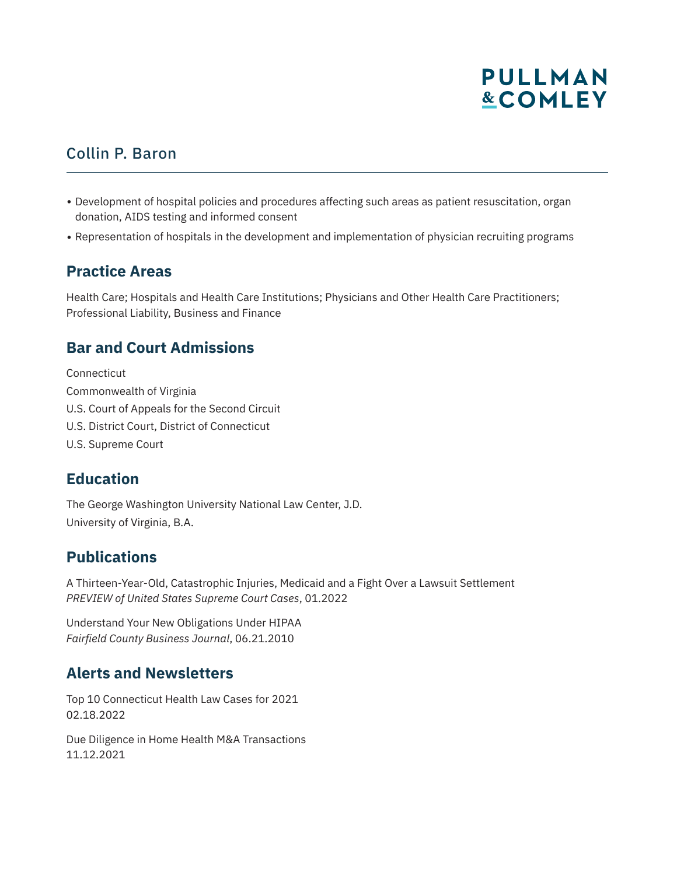# **PULLMAN &COMLEY**

### Collin P. Baron

- Development of hospital policies and procedures affecting such areas as patient resuscitation, organ donation, AIDS testing and informed consent
- Representation of hospitals in the development and implementation of physician recruiting programs

### **Practice Areas**

Health Care; Hospitals and Health Care Institutions; Physicians and Other Health Care Practitioners; Professional Liability, Business and Finance

### **Bar and Court Admissions**

Connecticut Commonwealth of Virginia U.S. Court of Appeals for the Second Circuit U.S. District Court, District of Connecticut U.S. Supreme Court

### **Education**

The George Washington University National Law Center, J.D. University of Virginia, B.A.

### **Publications**

A Thirteen-Year-Old, Catastrophic Injuries, Medicaid and a Fight Over a Lawsuit Settlement *PREVIEW of United States Supreme Court Cases*, 01.2022

Understand Your New Obligations Under HIPAA *Fairfield County Business Journal*, 06.21.2010

### **Alerts and Newsletters**

Top 10 Connecticut Health Law Cases for 2021 02.18.2022

Due Diligence in Home Health M&A Transactions 11.12.2021